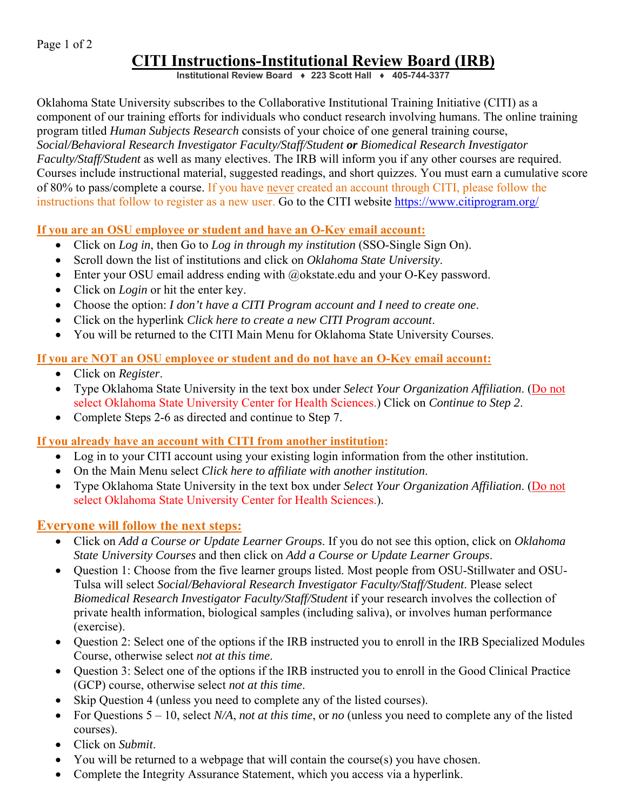Page 1 of 2

# **CITI Instructions-Institutional Review Board (IRB)**

**Institutional Review Board ♦ 223 Scott Hall ♦ 405-744-3377**

Oklahoma State University subscribes to the Collaborative Institutional Training Initiative (CITI) as a component of our training efforts for individuals who conduct research involving humans. The online training program titled *Human Subjects Research* consists of your choice of one general training course, *Social/Behavioral Research Investigator Faculty/Staff/Student or Biomedical Research Investigator Faculty/Staff/Student* as well as many electives. The IRB will inform you if any other courses are required. Courses include instructional material, suggested readings, and short quizzes. You must earn a cumulative score of 80% to pass/complete a course. If you have never created an account through CITI, please follow the instructions that follow to register as a new user. Go to the CITI website https://www.citiprogram.org/

#### **If you are an OSU employee or student and have an O-Key email account:**

- Click on *Log in*, then Go to *Log in through my institution* (SSO-Single Sign On).
- Scroll down the list of institutions and click on *Oklahoma State University*.
- Enter your OSU email address ending with @okstate.edu and your O-Key password.
- Click on *Login* or hit the enter key.
- Choose the option: *I don't have a CITI Program account and I need to create one*.
- Click on the hyperlink *Click here to create a new CITI Program account*.
- You will be returned to the CITI Main Menu for Oklahoma State University Courses.

## **If you are NOT an OSU employee or student and do not have an O-Key email account:**

- Click on *Register*.
- Type Oklahoma State University in the text box under *Select Your Organization Affiliation*. (Do not select Oklahoma State University Center for Health Sciences.) Click on *Continue to Step 2*.
- Complete Steps 2-6 as directed and continue to Step 7.

## **If you already have an account with CITI from another institution:**

- Log in to your CITI account using your existing login information from the other institution.
- On the Main Menu select *Click here to affiliate with another institution*.
- Type Oklahoma State University in the text box under *Select Your Organization Affiliation*. (Do not select Oklahoma State University Center for Health Sciences.).

## **Everyone will follow the next steps:**

- Click on *Add a Course or Update Learner Groups*. If you do not see this option, click on *Oklahoma State University Courses* and then click on *Add a Course or Update Learner Groups*.
- Question 1: Choose from the five learner groups listed. Most people from OSU-Stillwater and OSU-Tulsa will select *Social/Behavioral Research Investigator Faculty/Staff/Student*. Please select *Biomedical Research Investigator Faculty/Staff/Student* if your research involves the collection of private health information, biological samples (including saliva), or involves human performance (exercise).
- Question 2: Select one of the options if the IRB instructed you to enroll in the IRB Specialized Modules Course, otherwise select *not at this time*.
- Question 3: Select one of the options if the IRB instructed you to enroll in the Good Clinical Practice (GCP) course, otherwise select *not at this time*.
- Skip Question 4 (unless you need to complete any of the listed courses).
- For Questions 5 10, select *N/A*, *not at this time*, or *no* (unless you need to complete any of the listed courses).
- Click on *Submit*.
- You will be returned to a webpage that will contain the course(s) you have chosen.
- Complete the Integrity Assurance Statement, which you access via a hyperlink.